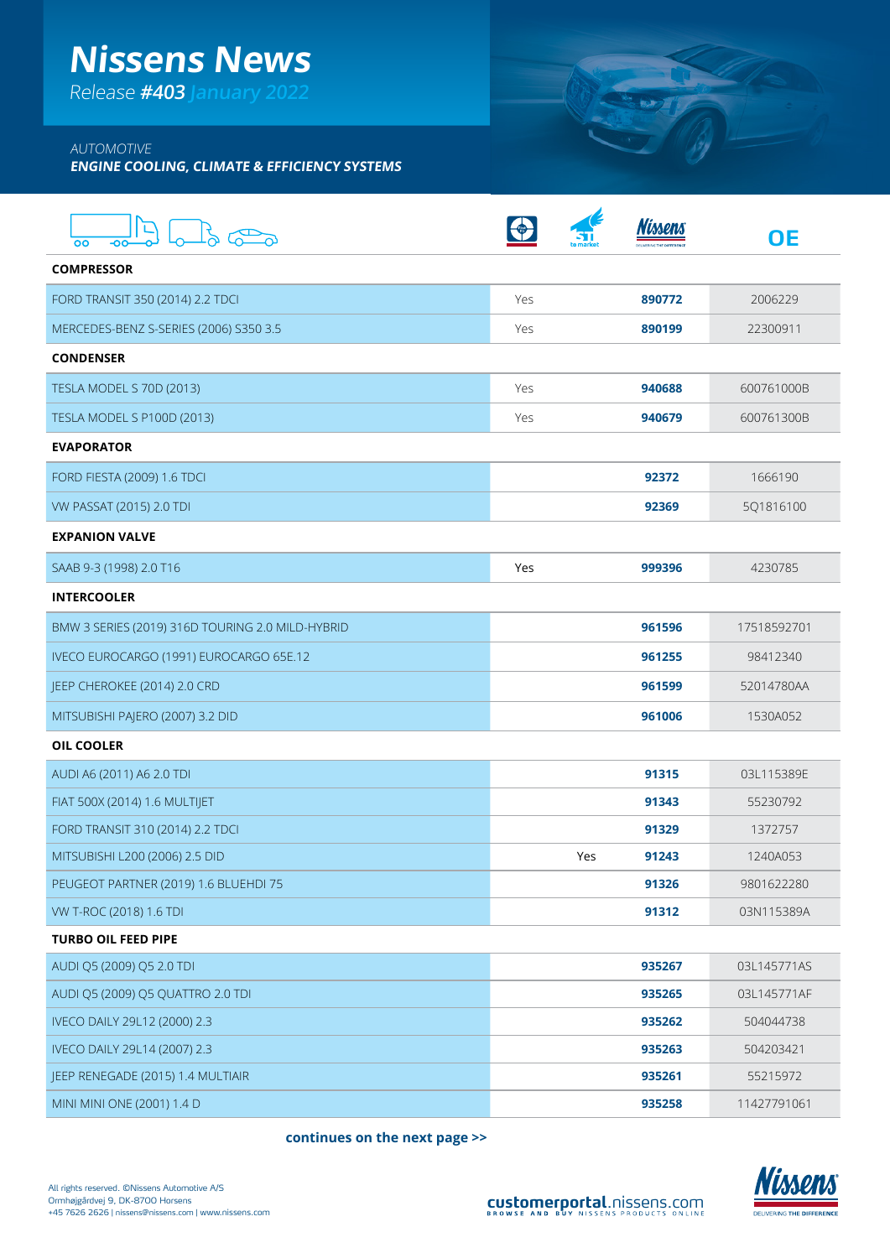# **Nissens News**

Release **#403 January 2022**

### AUTOMOTIVE

**ENGINE COOLING, CLIMATE & EFFICIENCY SYSTEMS**

| OO<br>-oo                                        |     |     |        | <b>OE</b>   |
|--------------------------------------------------|-----|-----|--------|-------------|
| <b>COMPRESSOR</b>                                |     |     |        |             |
| FORD TRANSIT 350 (2014) 2.2 TDCI                 | Yes |     | 890772 | 2006229     |
| MERCEDES-BENZ S-SERIES (2006) S350 3.5           | Yes |     | 890199 | 22300911    |
| <b>CONDENSER</b>                                 |     |     |        |             |
| TESLA MODEL S 70D (2013)                         | Yes |     | 940688 | 600761000B  |
| TESLA MODEL S P100D (2013)                       | Yes |     | 940679 | 600761300B  |
| <b>EVAPORATOR</b>                                |     |     |        |             |
| <b>FORD FIESTA (2009) 1.6 TDCI</b>               |     |     | 92372  | 1666190     |
| VW PASSAT (2015) 2.0 TDI                         |     |     | 92369  | 5Q1816100   |
| <b>EXPANION VALVE</b>                            |     |     |        |             |
| SAAB 9-3 (1998) 2.0 T16                          | Yes |     | 999396 | 4230785     |
| <b>INTERCOOLER</b>                               |     |     |        |             |
| BMW 3 SERIES (2019) 316D TOURING 2.0 MILD-HYBRID |     |     | 961596 | 17518592701 |
| IVECO EUROCARGO (1991) EUROCARGO 65E.12          |     |     | 961255 | 98412340    |
| JEEP CHEROKEE (2014) 2.0 CRD                     |     |     | 961599 | 52014780AA  |
| MITSUBISHI PAJERO (2007) 3.2 DID                 |     |     | 961006 | 1530A052    |
| <b>OIL COOLER</b>                                |     |     |        |             |
| AUDI A6 (2011) A6 2.0 TDI                        |     |     | 91315  | 03L115389E  |
| FIAT 500X (2014) 1.6 MULTIJET                    |     |     | 91343  | 55230792    |
| FORD TRANSIT 310 (2014) 2.2 TDCI                 |     |     | 91329  | 1372757     |
| MITSUBISHI L200 (2006) 2.5 DID                   |     | Yes | 91243  | 1240A053    |
| PEUGEOT PARTNER (2019) 1.6 BLUEHDI 75            |     |     | 91326  | 9801622280  |
| VW T-ROC (2018) 1.6 TDI                          |     |     | 91312  | 03N115389A  |
| <b>TURBO OIL FEED PIPE</b>                       |     |     |        |             |
| AUDI Q5 (2009) Q5 2.0 TDI                        |     |     | 935267 | 03L145771AS |
| AUDI Q5 (2009) Q5 QUATTRO 2.0 TDI                |     |     | 935265 | 03L145771AF |
| IVECO DAILY 29L12 (2000) 2.3                     |     |     | 935262 | 504044738   |
| IVECO DAILY 29L14 (2007) 2.3                     |     |     | 935263 | 504203421   |
| JEEP RENEGADE (2015) 1.4 MULTIAIR                |     |     | 935261 | 55215972    |
| MINI MINI ONE (2001) 1.4 D                       |     |     | 935258 | 11427791061 |

**continues on the next page >>**



**SERVER**